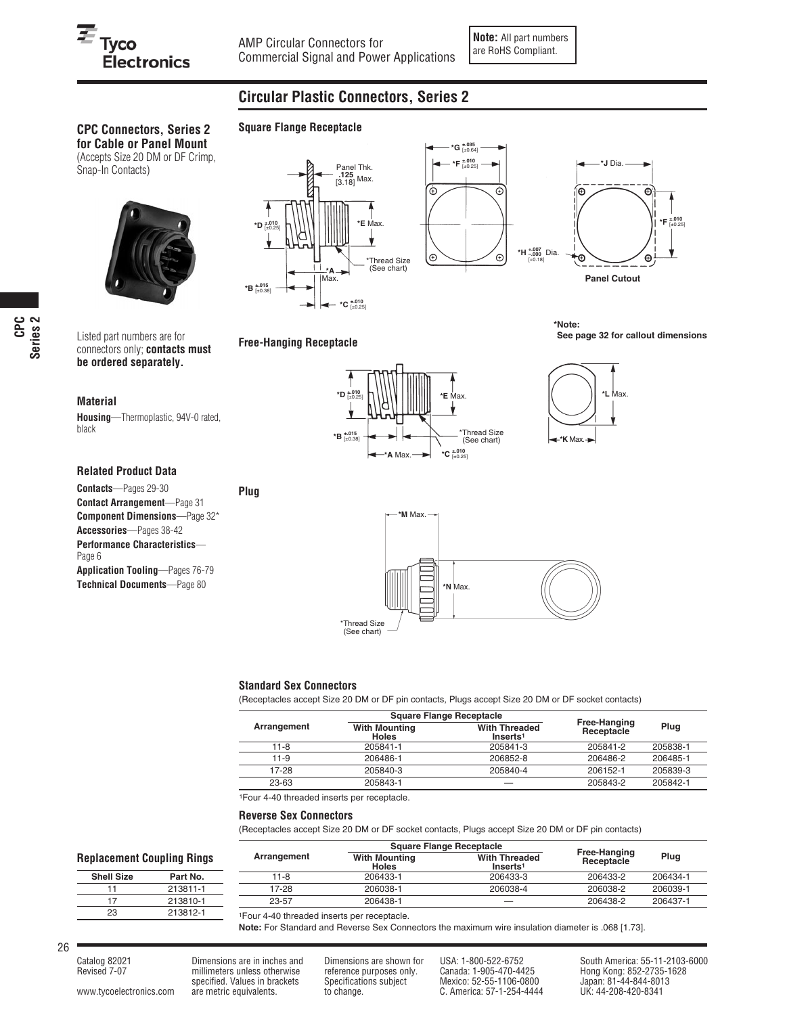# $\overline{\boldsymbol{\varepsilon}}_{\mathsf{Tyco}}$ **Electronics**

## **Circular Plastic Connectors, Series 2**

## **CPC Connectors, Series 2**

**for Cable or Panel Mount** (Accepts Size 20 DM or DF Crimp, Snap-In Contacts)



Listed part numbers are for connectors only; **contacts must be ordered separately.**

#### **Material**

**Housing**—Thermoplastic, 94V-0 rated, black

### **Related Product Data**

**Contacts**—Pages 29-30 **Contact Arrangement**—Page 31 **Component Dimensions**—Page 32\* **Accessories**—Pages 38-42 **Performance Characteristics**— Page 6 **Application Tooling**—Pages 76-79 **Technical Documents**—Page 80



**Square Flange Receptacle**

**Free-Hanging Receptacle**

**Plug**



**\*Note: See page 32 for callout dimensions**







#### **Standard Sex Connectors**

(Receptacles accept Size 20 DM or DF pin contacts, Plugs accept Size 20 DM or DF socket contacts)

|             |                                      | <b>Square Flange Receptacle</b>              |                            |          |
|-------------|--------------------------------------|----------------------------------------------|----------------------------|----------|
| Arrangement | <b>With Mounting</b><br><b>Holes</b> | <b>With Threaded</b><br>Inserts <sup>1</sup> | Free-Hanging<br>Receptacle | Plug     |
| 11-8        | 205841-1                             | 205841-3                                     | 205841-2                   | 205838-1 |
| 11-9        | 206486-1                             | 206852-8                                     | 206486-2                   | 206485-1 |
| 17-28       | 205840-3                             | 205840-4                                     | 206152-1                   | 205839-3 |
| 23-63       | 205843-1                             |                                              | 205843-2                   | 205842-1 |

**Receptacle Conserved Burden Conserved Burden Conserved Burden Conserved Burden Conserved Burden Conserved Burden Receptacle<br>
Holes <b>Receptacle Plug**<br> **Holes Plug**<br> **Receptacle Plug** 

11-8 206433-1 206433-3 206433-2 206434-1 17-28 206038-1 206038-4 206038-2 206039-1 23-57 206438-1 — 206438-2 206437-1

1Four 4-40 threaded inserts per receptacle.

#### **Reverse Sex Connectors**

(Receptacles accept Size 20 DM or DF socket contacts, Plugs accept Size 20 DM or DF pin contacts)

**Holes** Inserts<sup>1</sup><br>206433-1 206433-3

#### **Replacement Coupling Rings**

| <b>Shell Size</b> | Part No. |  |  |  |
|-------------------|----------|--|--|--|
| 11                | 213811-1 |  |  |  |
| 17                | 213810-1 |  |  |  |
| 23                | 213812-1 |  |  |  |

1Four 4-40 threaded inserts per receptacle.

**Note:** For Standard and Reverse Sex Connectors the maximum wire insulation diameter is .068 [1.73].

millimeters unless otherwise reference purposes only. Canada: 1-905-470-4425 Hong Kong: 852-2735-1<br>1926-1106-0800 Japan: 81-44-844-8013 Specifications subject Mexico: 52-55-1106-0800 Japan: 81-44-844-8013 specified. Values in brackets Specifications subject Mexico: 52-55-1106-0800 Japan: 81-44-844-801<br>are metric equivalents. to change. C. America: 57-1-254-4444 UK: 44-208-420-8341 www.tycoelectronics.com are metric equivalents. to change. C. America: 57-1-254-4444

Catalog 82021 Dimensions are in inches and Dimensions are shown for USA: 1-800-522-6752 South America: 55-11-2103-6000<br>Revised 7-07 millimeters unless otherwise reference purposes only. Canada: 1-905-470-4425 Hong Kong: 85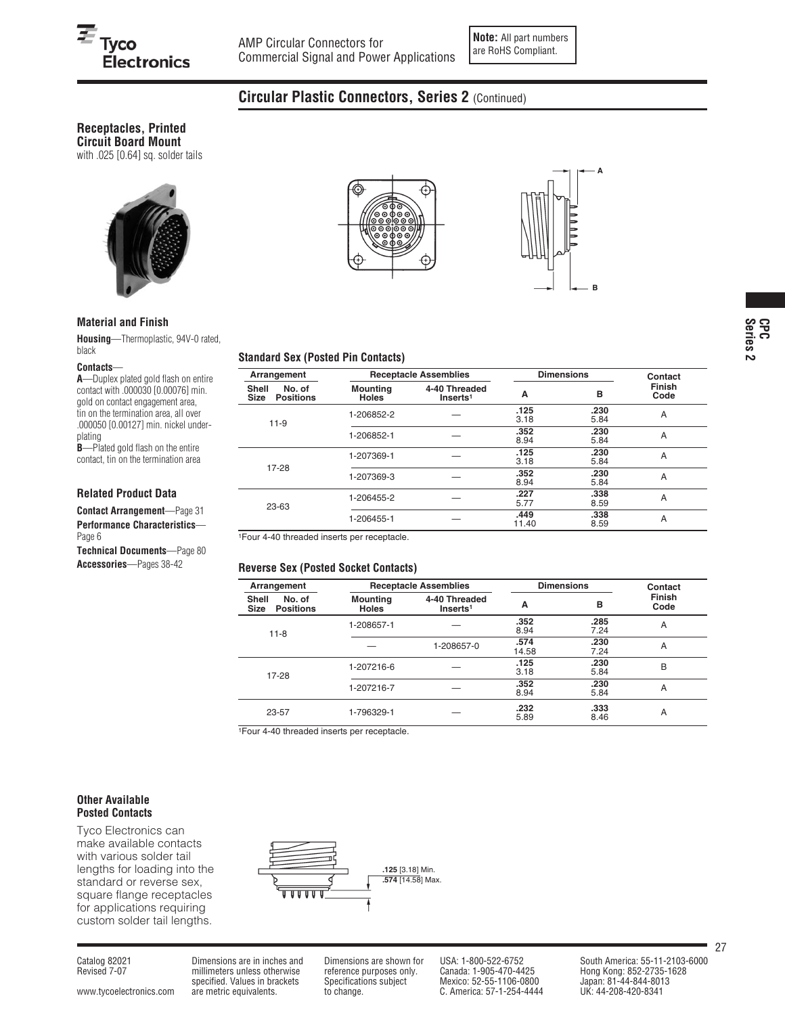**Note:** All part numbers are RoHS Compliant.

## **Circular Plastic Connectors, Series 2** (Continued)

#### **Receptacles, Printed Circuit Board Mount**

with .025 [0.64] sq. solder tails



#### **Material and Finish**

**Housing**—Thermoplastic, 94V-0 rated, black

#### **Contacts**—

**A**—Duplex plated gold flash on entire contact with .000030 [0.00076] min. gold on contact engagement area, tin on the termination area, all over .000050 [0.00127] min. nickel underplating **B**-Plated gold flash on the entire

contact, tin on the termination area

#### **Related Product Data**

**Contact Arrangement**—Page 31 **Performance Characteristics**— Page 6

**Technical Documents**—Page 80 **Accessories**—Pages 38-42





#### **Standard Sex (Posted Pin Contacts)**

| Arrangement                                 |                                 | <b>Receptacle Assemblies</b>         | <b>Dimensions</b> |              | Contact               |
|---------------------------------------------|---------------------------------|--------------------------------------|-------------------|--------------|-----------------------|
| No. of<br>Shell<br>Size<br><b>Positions</b> | <b>Mounting</b><br><b>Holes</b> | 4-40 Threaded<br>Insets <sup>1</sup> | A                 | в            | <b>Finish</b><br>Code |
| $11-9$                                      | 1-206852-2                      |                                      | .125<br>3.18      | .230<br>5.84 | A                     |
|                                             | 1-206852-1                      |                                      | .352<br>8.94      | .230<br>5.84 | A                     |
| 17-28                                       | 1-207369-1                      |                                      | .125<br>3.18      | .230<br>5.84 | A                     |
|                                             | 1-207369-3                      |                                      | .352<br>8.94      | .230<br>5.84 | A                     |
| 23-63                                       | 1-206455-2                      |                                      | .227<br>5.77      | .338<br>8.59 | A                     |
|                                             | 1-206455-1                      |                                      | .449<br>11.40     | .338<br>8.59 | A                     |

1Four 4-40 threaded inserts per receptacle.

#### **Reverse Sex (Posted Socket Contacts)**

| Arrangement                                        |                                 | <b>Receptacle Assemblies</b>          | <b>Dimensions</b> |              | Contact               |
|----------------------------------------------------|---------------------------------|---------------------------------------|-------------------|--------------|-----------------------|
| Shell<br>No. of<br><b>Positions</b><br><b>Size</b> | <b>Mounting</b><br><b>Holes</b> | 4-40 Threaded<br>Inserts <sup>1</sup> | А                 | в            | <b>Finish</b><br>Code |
| $11 - 8$                                           | 1-208657-1                      |                                       | .352<br>8.94      | .285<br>7.24 | A                     |
|                                                    |                                 | 1-208657-0                            | .574<br>14.58     | .230<br>7.24 | A                     |
| 17-28                                              | 1-207216-6                      |                                       | .125<br>3.18      | .230<br>5.84 | B                     |
|                                                    | 1-207216-7                      |                                       | .352<br>8.94      | .230<br>5.84 | A                     |
| 23-57                                              | 1-796329-1                      |                                       | .232<br>5.89      | .333<br>8.46 | A                     |

1Four 4-40 threaded inserts per receptacle.

#### **Other Available Posted Contacts**

Tyco Electronics can make available contacts with various solder tail lengths for loading into the standard or reverse sex, square flange receptacles for applications requiring custom solder tail lengths.



www.tycoelectronics.com are metric equivalents. to change. C. America: 57-1-254-4444

millimeters unless otherwise reference purposes only. Canada: 1-905-470-4425 Hong Kong: 852-2735-1<br>specified. Values in brackets Specifications subject Mexico: 52-55-1106-0800 Japan: 81-44-844-8013 specified. Values in brackets Specifications subject Mexico: 52-55-1106-0800 Japan: 81-44-844-801<br>are metric equivalents. to change. C. America: 57-1-254-4444 UK: 44-208-420-8341

Catalog 82021 Dimensions are in inches and Dimensions are shown for USA: 1-800-522-6752 South America: 55-11-2103-6000<br>Revised 7-07 millimeters unless otherwise reference purposes only. Canada: 1-905-470-4425 Hong Kong: 85

27